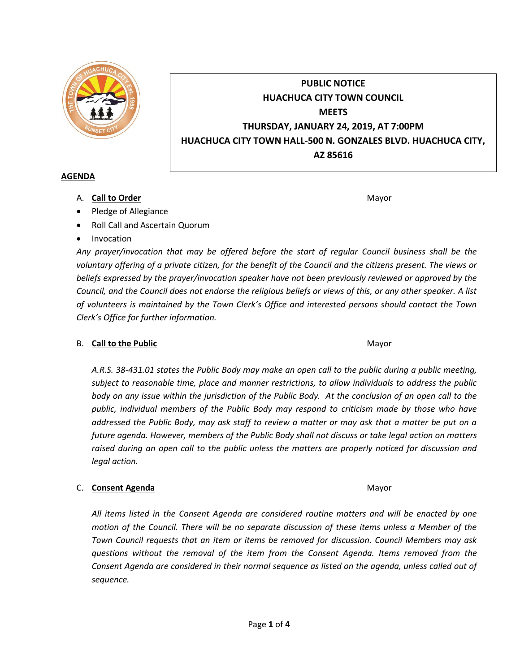

# **PUBLIC NOTICE HUACHUCA CITY TOWN COUNCIL MEETS THURSDAY, JANUARY 24, 2019, AT 7:00PM HUACHUCA CITY TOWN HALL-500 N. GONZALES BLVD. HUACHUCA CITY, AZ 85616**

#### **AGENDA**

A. **Call to Order** Mayor **Mayor** Mayor **Mayor** Mayor **Mayor** 

- Pledge of Allegiance
- Roll Call and Ascertain Quorum
- Invocation

*Any prayer/invocation that may be offered before the start of regular Council business shall be the voluntary offering of a private citizen, for the benefit of the Council and the citizens present. The views or beliefs expressed by the prayer/invocation speaker have not been previously reviewed or approved by the Council, and the Council does not endorse the religious beliefs or views of this, or any other speaker. A list of volunteers is maintained by the Town Clerk's Office and interested persons should contact the Town Clerk's Office for further information.*

### B. **Call to the Public** Mayor **Mayor** Mayor **Mayor** Mayor

*A.R.S. 38-431.01 states the Public Body may make an open call to the public during a public meeting, subject to reasonable time, place and manner restrictions, to allow individuals to address the public body on any issue within the jurisdiction of the Public Body. At the conclusion of an open call to the public, individual members of the Public Body may respond to criticism made by those who have addressed the Public Body, may ask staff to review a matter or may ask that a matter be put on a future agenda. However, members of the Public Body shall not discuss or take legal action on matters raised during an open call to the public unless the matters are properly noticed for discussion and legal action.*

### C. **Consent Agenda** Mayor

*All items listed in the Consent Agenda are considered routine matters and will be enacted by one motion of the Council. There will be no separate discussion of these items unless a Member of the Town Council requests that an item or items be removed for discussion. Council Members may ask questions without the removal of the item from the Consent Agenda. Items removed from the Consent Agenda are considered in their normal sequence as listed on the agenda, unless called out of sequence.*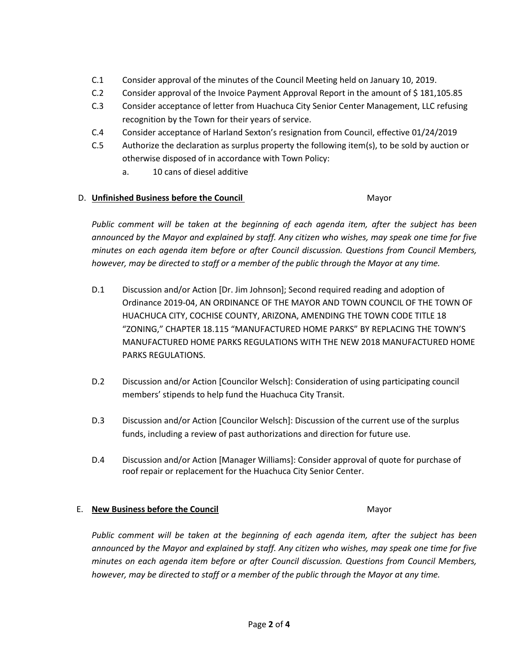- C.1 Consider approval of the minutes of the Council Meeting held on January 10, 2019.
- C.2 Consider approval of the Invoice Payment Approval Report in the amount of \$181,105.85
- C.3 Consider acceptance of letter from Huachuca City Senior Center Management, LLC refusing recognition by the Town for their years of service.
- C.4 Consider acceptance of Harland Sexton's resignation from Council, effective 01/24/2019
- C.5 Authorize the declaration as surplus property the following item(s), to be sold by auction or otherwise disposed of in accordance with Town Policy:
	- a. 10 cans of diesel additive

## D. **Unfinished Business before the Council** Mayor

*Public comment will be taken at the beginning of each agenda item, after the subject has been announced by the Mayor and explained by staff. Any citizen who wishes, may speak one time for five minutes on each agenda item before or after Council discussion. Questions from Council Members, however, may be directed to staff or a member of the public through the Mayor at any time.*

- D.1 Discussion and/or Action [Dr. Jim Johnson]; Second required reading and adoption of Ordinance 2019-04, AN ORDINANCE OF THE MAYOR AND TOWN COUNCIL OF THE TOWN OF HUACHUCA CITY, COCHISE COUNTY, ARIZONA, AMENDING THE TOWN CODE TITLE 18 "ZONING," CHAPTER 18.115 "MANUFACTURED HOME PARKS" BY REPLACING THE TOWN'S MANUFACTURED HOME PARKS REGULATIONS WITH THE NEW 2018 MANUFACTURED HOME PARKS REGULATIONS.
- D.2 Discussion and/or Action [Councilor Welsch]: Consideration of using participating council members' stipends to help fund the Huachuca City Transit.
- D.3 Discussion and/or Action [Councilor Welsch]: Discussion of the current use of the surplus funds, including a review of past authorizations and direction for future use.
- D.4 Discussion and/or Action [Manager Williams]: Consider approval of quote for purchase of roof repair or replacement for the Huachuca City Senior Center.

#### E. **New Business before the Council** Mayor

*Public comment will be taken at the beginning of each agenda item, after the subject has been announced by the Mayor and explained by staff. Any citizen who wishes, may speak one time for five minutes on each agenda item before or after Council discussion. Questions from Council Members, however, may be directed to staff or a member of the public through the Mayor at any time.*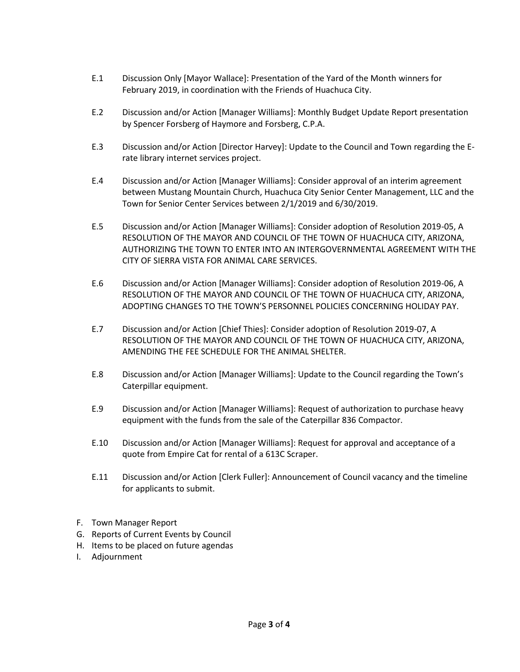- E.1 Discussion Only [Mayor Wallace]: Presentation of the Yard of the Month winners for February 2019, in coordination with the Friends of Huachuca City.
- E.2 Discussion and/or Action [Manager Williams]: Monthly Budget Update Report presentation by Spencer Forsberg of Haymore and Forsberg, C.P.A.
- E.3 Discussion and/or Action [Director Harvey]: Update to the Council and Town regarding the Erate library internet services project.
- E.4 Discussion and/or Action [Manager Williams]: Consider approval of an interim agreement between Mustang Mountain Church, Huachuca City Senior Center Management, LLC and the Town for Senior Center Services between 2/1/2019 and 6/30/2019.
- E.5 Discussion and/or Action [Manager Williams]: Consider adoption of Resolution 2019-05, A RESOLUTION OF THE MAYOR AND COUNCIL OF THE TOWN OF HUACHUCA CITY, ARIZONA, AUTHORIZING THE TOWN TO ENTER INTO AN INTERGOVERNMENTAL AGREEMENT WITH THE CITY OF SIERRA VISTA FOR ANIMAL CARE SERVICES.
- E.6 Discussion and/or Action [Manager Williams]: Consider adoption of Resolution 2019-06, A RESOLUTION OF THE MAYOR AND COUNCIL OF THE TOWN OF HUACHUCA CITY, ARIZONA, ADOPTING CHANGES TO THE TOWN'S PERSONNEL POLICIES CONCERNING HOLIDAY PAY.
- E.7 Discussion and/or Action [Chief Thies]: Consider adoption of Resolution 2019-07, A RESOLUTION OF THE MAYOR AND COUNCIL OF THE TOWN OF HUACHUCA CITY, ARIZONA, AMENDING THE FEE SCHEDULE FOR THE ANIMAL SHELTER.
- E.8 Discussion and/or Action [Manager Williams]: Update to the Council regarding the Town's Caterpillar equipment.
- E.9 Discussion and/or Action [Manager Williams]: Request of authorization to purchase heavy equipment with the funds from the sale of the Caterpillar 836 Compactor.
- E.10 Discussion and/or Action [Manager Williams]: Request for approval and acceptance of a quote from Empire Cat for rental of a 613C Scraper.
- E.11 Discussion and/or Action [Clerk Fuller]: Announcement of Council vacancy and the timeline for applicants to submit.
- F. Town Manager Report
- G. Reports of Current Events by Council
- H. Items to be placed on future agendas
- I. Adjournment